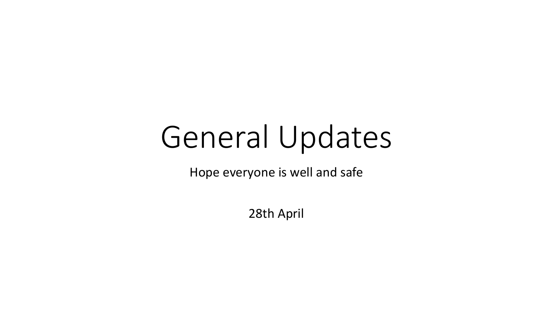# General Updates

Hope everyone is well and safe

28th April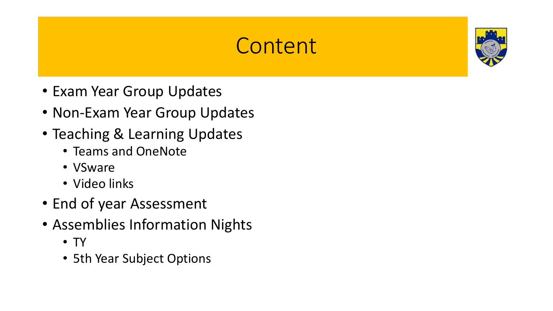### **Content**



- Exam Year Group Updates
- Non-Exam Year Group Updates
- Teaching & Learning Updates
	- Teams and OneNote
	- VSware
	- Video links
- End of year Assessment
- Assemblies Information Nights
	- TY
	- 5th Year Subject Options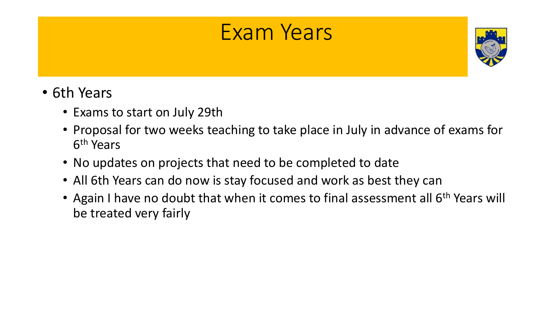### Exam Years



- 6th Years
	- Exams to start on July 29th
	- Proposal for two weeks teaching to take place in July in advance of exams for 6<sup>th</sup> Years
	- No updates on projects that need to be completed to date
	- All 6th Years can do now is stay focused and work as best they can
	- Again I have no doubt that when it comes to final assessment all 6<sup>th</sup> Years will be treated very fairly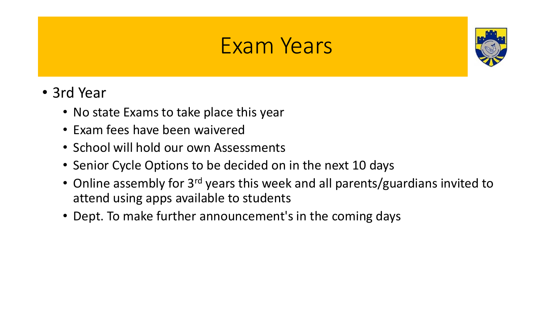### Exam Years



- 3rd Year
	- No state Exams to take place this year
	- Exam fees have been waivered
	- School will hold our own Assessments
	- Senior Cycle Options to be decided on in the next 10 days
	- Online assembly for 3<sup>rd</sup> years this week and all parents/guardians invited to attend using apps available to students
	- Dept. To make further announcement's in the coming days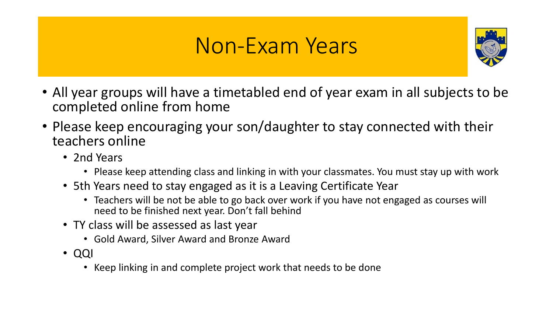### Non-Exam Years



- All year groups will have a timetabled end of year exam in all subjects to be completed online from home
- Please keep encouraging your son/daughter to stay connected with their teachers online
	- 2nd Years
		- Please keep attending class and linking in with your classmates. You must stay up with work
	- 5th Years need to stay engaged as it is a Leaving Certificate Year
		- Teachers will be not be able to go back over work if you have not engaged as courses will need to be finished next year. Don't fall behind
	- TY class will be assessed as last year
		- Gold Award, Silver Award and Bronze Award
	- QQI
		- Keep linking in and complete project work that needs to be done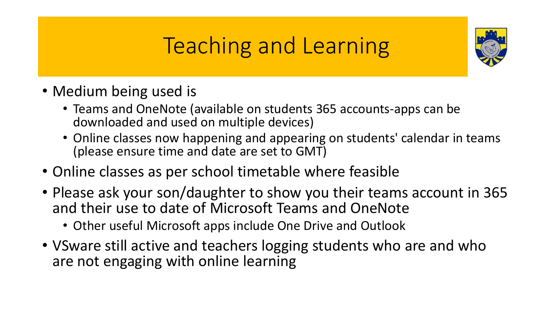## Teaching and Learning



- Medium being used is
	- Teams and OneNote (available on students 365 accounts-apps can be downloaded and used on multiple devices)
	- Online classes now happening and appearing on students' calendar in teams (please ensure time and date are set to GMT)
- Online classes as per school timetable where feasible
- Please ask your son/daughter to show you their teams account in 365 and their use to date of Microsoft Teams and OneNote
	- Other useful Microsoft apps include One Drive and Outlook
- VSware still active and teachers logging students who are and who are not engaging with online learning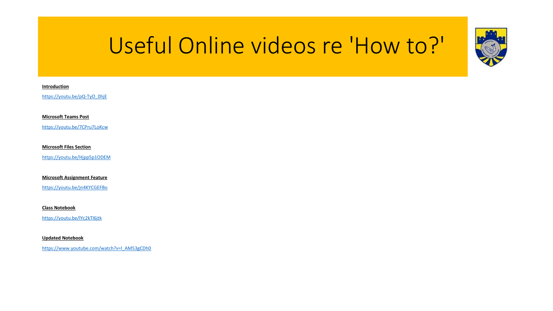# Useful Online videos re 'How to?'



### **Introduction**

[https://youtu.be/pQ-TyO\\_0hjE](https://youtu.be/pQ-TyO_0hjE)

**Microsoft Teams Post**

<https://youtu.be/7CPru7LoKcw>

**Microsoft Files Section**

<https://youtu.be/Hjpp5p1ODEM>

**Microsoft Assignment Feature**

<https://youtu.be/jn4KYCGEFBo>

**Class Notebook**

<https://youtu.be/lYc2kTl6jtk>

**Updated Notebook**

[https://www.youtube.com/watch?v=l\\_AM53gCDh0](https://www.youtube.com/watch?v=l_AM53gCDh0)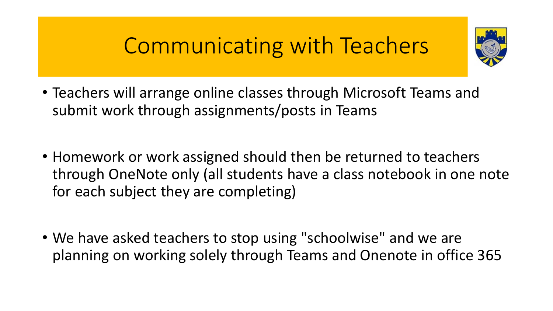### Communicating with Teachers



- Teachers will arrange online classes through Microsoft Teams and submit work through assignments/posts in Teams
- Homework or work assigned should then be returned to teachers through OneNote only (all students have a class notebook in one note for each subject they are completing)
- We have asked teachers to stop using "schoolwise" and we are planning on working solely through Teams and Onenote in office 365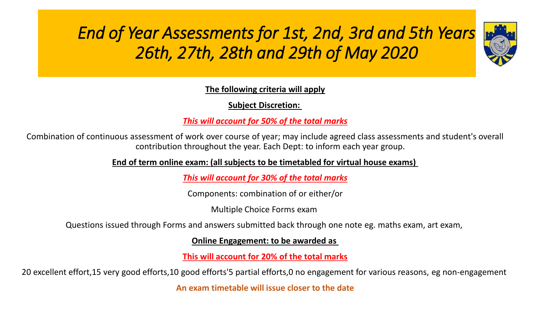### *End of Year Assessments for 1st, 2nd, 3rd and 5th Years 26th, 27th, 28th and 29th of May 2020*



**The following criteria will apply**

**Subject Discretion:**

*This will account for 50% of the total marks*

Combination of continuous assessment of work over course of year; may include agreed class assessments and student's overall contribution throughout the year. Each Dept: to inform each year group.

**End of term online exam: (all subjects to be timetabled for virtual house exams)**

*This will account for 30% of the total marks*

Components: combination of or either/or

Multiple Choice Forms exam

Questions issued through Forms and answers submitted back through one note eg. maths exam, art exam,

**Online Engagement: to be awarded as**

**This will account for 20% of the total marks**

20 excellent effort,15 very good efforts,10 good efforts'5 partial efforts,0 no engagement for various reasons, eg non-engagement

**An exam timetable will issue closer to the date**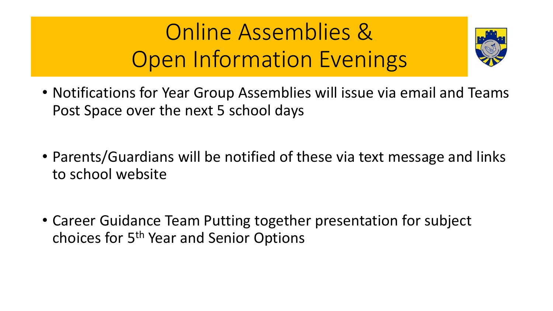# Online Assemblies & Open Information Evenings



- Notifications for Year Group Assemblies will issue via email and Teams Post Space over the next 5 school days
- Parents/Guardians will be notified of these via text message and links to school website
- Career Guidance Team Putting together presentation for subject choices for 5<sup>th</sup> Year and Senior Options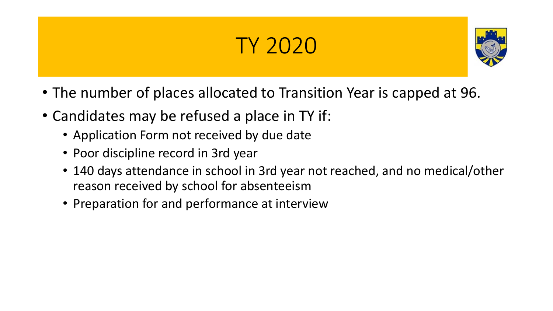# TY 2020



- The number of places allocated to Transition Year is capped at 96.
- Candidates may be refused a place in TY if:
	- Application Form not received by due date
	- Poor discipline record in 3rd year
	- 140 days attendance in school in 3rd year not reached, and no medical/other reason received by school for absenteeism
	- Preparation for and performance at interview